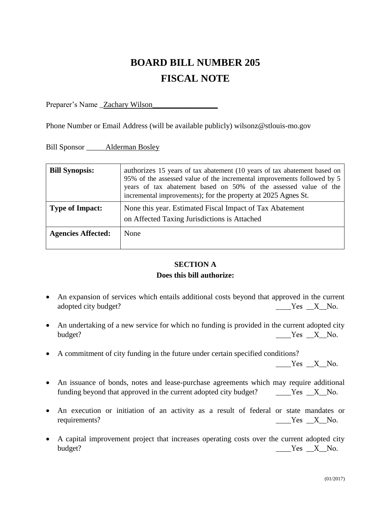# **BOARD BILL NUMBER 205 FISCAL NOTE**

Preparer's Name \_Zachary Wilson

Phone Number or Email Address (will be available publicly) wilsonz@stlouis-mo.gov

Bill Sponsor \_\_\_\_\_Alderman Bosley

| <b>Bill Synopsis:</b>     | authorizes 15 years of tax abatement (10 years of tax abatement based on<br>95% of the assessed value of the incremental improvements followed by 5<br>years of tax abatement based on 50% of the assessed value of the<br>incremental improvements); for the property at 2025 Agnes St. |  |  |
|---------------------------|------------------------------------------------------------------------------------------------------------------------------------------------------------------------------------------------------------------------------------------------------------------------------------------|--|--|
| <b>Type of Impact:</b>    | None this year. Estimated Fiscal Impact of Tax Abatement<br>on Affected Taxing Jurisdictions is Attached                                                                                                                                                                                 |  |  |
| <b>Agencies Affected:</b> | None                                                                                                                                                                                                                                                                                     |  |  |

## **SECTION A Does this bill authorize:**

- An expansion of services which entails additional costs beyond that approved in the current adopted city budget? The set of the set of the set of the set of the set of the set of the set of the set of the set of the set of the set of the set of the set of the set of the set of the set of the set of the set of the
- An undertaking of a new service for which no funding is provided in the current adopted city budget? No. 2012 and the set of the set of the set of the set of the set of the set of the set of the set of the set of the set of the set of the set of the set of the set of the set of the set of the set of the set of the
- A commitment of city funding in the future under certain specified conditions?

 $Yes$   $X$  No.

- An issuance of bonds, notes and lease-purchase agreements which may require additional funding beyond that approved in the current adopted city budget?  $\qquad \qquad$  Yes  $\Box X \quad$  No.
- An execution or initiation of an activity as a result of federal or state mandates or requirements? No. 1988 Western Manual Messenger Manual Messenger Messenger Manual Messenger Messenger Messenger
- A capital improvement project that increases operating costs over the current adopted city budget? No. 2. No. 2. No. 2. No. 2. No. 2. No. 2. No. 2. No. 2. No. 2. No. 2. No. 2. No. 2. No. 2. No. 2. No. 2. No. 2. No. 2. No. 2. No. 2. No. 2. No. 2. No. 2. No. 2. No. 2. No. 2. No. 2. No. 2. No. 2. No. 2. No. 2. No.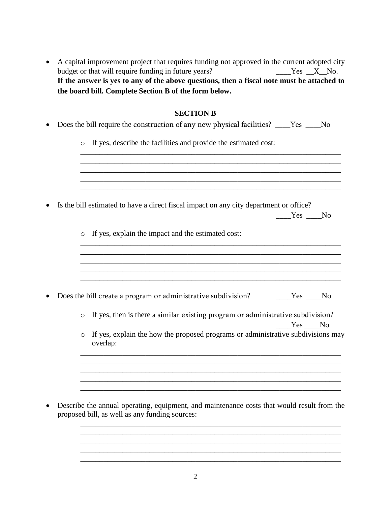| • A capital improvement project that requires funding not approved in the current adopted city |           |
|------------------------------------------------------------------------------------------------|-----------|
| budget or that will require funding in future years?                                           | Yes X No. |
| If the answer is yes to any of the above questions, then a fiscal note must be attached to     |           |
| the board bill. Complete Section B of the form below.                                          |           |

### **SECTION B**

|  | • Does the bill require the construction of any new physical facilities? _____Yes ______No |
|--|--------------------------------------------------------------------------------------------|
|  | o If yes, describe the facilities and provide the estimated cost:                          |
|  |                                                                                            |
|  |                                                                                            |
|  | Is the bill estimated to have a direct fiscal impact on any city department or office?     |
|  | Yes No                                                                                     |
|  | $\circ$ If yes explain the impact and the estimated cost.                                  |

o If yes, explain the impact and the estimated cost:

|  | • Does the bill create a program or administrative subdivision? |  | Yes No |
|--|-----------------------------------------------------------------|--|--------|
|--|-----------------------------------------------------------------|--|--------|

o If yes, then is there a similar existing program or administrative subdivision? Yes No

\_\_\_\_\_\_\_\_\_\_\_\_\_\_\_\_\_\_\_\_\_\_\_\_\_\_\_\_\_\_\_\_\_\_\_\_\_\_\_\_\_\_\_\_\_\_\_\_\_\_\_\_\_\_\_\_\_\_\_\_\_\_\_\_\_\_\_\_ \_\_\_\_\_\_\_\_\_\_\_\_\_\_\_\_\_\_\_\_\_\_\_\_\_\_\_\_\_\_\_\_\_\_\_\_\_\_\_\_\_\_\_\_\_\_\_\_\_\_\_\_\_\_\_\_\_\_\_\_\_\_\_\_\_\_\_\_ \_\_\_\_\_\_\_\_\_\_\_\_\_\_\_\_\_\_\_\_\_\_\_\_\_\_\_\_\_\_\_\_\_\_\_\_\_\_\_\_\_\_\_\_\_\_\_\_\_\_\_\_\_\_\_\_\_\_\_\_\_\_\_\_\_\_\_\_

o If yes, explain the how the proposed programs or administrative subdivisions may overlap:

\_\_\_\_\_\_\_\_\_\_\_\_\_\_\_\_\_\_\_\_\_\_\_\_\_\_\_\_\_\_\_\_\_\_\_\_\_\_\_\_\_\_\_\_\_\_\_\_\_\_\_\_\_\_\_\_\_\_\_\_\_\_\_\_\_\_\_\_ \_\_\_\_\_\_\_\_\_\_\_\_\_\_\_\_\_\_\_\_\_\_\_\_\_\_\_\_\_\_\_\_\_\_\_\_\_\_\_\_\_\_\_\_\_\_\_\_\_\_\_\_\_\_\_\_\_\_\_\_\_\_\_\_\_\_\_\_ \_\_\_\_\_\_\_\_\_\_\_\_\_\_\_\_\_\_\_\_\_\_\_\_\_\_\_\_\_\_\_\_\_\_\_\_\_\_\_\_\_\_\_\_\_\_\_\_\_\_\_\_\_\_\_\_\_\_\_\_\_\_\_\_\_\_\_\_

\_\_\_\_\_\_\_\_\_\_\_\_\_\_\_\_\_\_\_\_\_\_\_\_\_\_\_\_\_\_\_\_\_\_\_\_\_\_\_\_\_\_\_\_\_\_\_\_\_\_\_\_\_\_\_\_\_\_\_\_\_\_\_\_\_\_\_\_ \_\_\_\_\_\_\_\_\_\_\_\_\_\_\_\_\_\_\_\_\_\_\_\_\_\_\_\_\_\_\_\_\_\_\_\_\_\_\_\_\_\_\_\_\_\_\_\_\_\_\_\_\_\_\_\_\_\_\_\_\_\_\_\_\_\_\_\_ \_\_\_\_\_\_\_\_\_\_\_\_\_\_\_\_\_\_\_\_\_\_\_\_\_\_\_\_\_\_\_\_\_\_\_\_\_\_\_\_\_\_\_\_\_\_\_\_\_\_\_\_\_\_\_\_\_\_\_\_\_\_\_\_\_\_\_\_ \_\_\_\_\_\_\_\_\_\_\_\_\_\_\_\_\_\_\_\_\_\_\_\_\_\_\_\_\_\_\_\_\_\_\_\_\_\_\_\_\_\_\_\_\_\_\_\_\_\_\_\_\_\_\_\_\_\_\_\_\_\_\_\_\_\_\_\_ \_\_\_\_\_\_\_\_\_\_\_\_\_\_\_\_\_\_\_\_\_\_\_\_\_\_\_\_\_\_\_\_\_\_\_\_\_\_\_\_\_\_\_\_\_\_\_\_\_\_\_\_\_\_\_\_\_\_\_\_\_\_\_\_\_\_\_\_

\_\_\_\_\_\_\_\_\_\_\_\_\_\_\_\_\_\_\_\_\_\_\_\_\_\_\_\_\_\_\_\_\_\_\_\_\_\_\_\_\_\_\_\_\_\_\_\_\_\_\_\_\_\_\_\_\_\_\_\_\_\_\_\_\_\_\_\_

\_\_\_\_\_\_\_\_\_\_\_\_\_\_\_\_\_\_\_\_\_\_\_\_\_\_\_\_\_\_\_\_\_\_\_\_\_\_\_\_\_\_\_\_\_\_\_\_\_\_\_\_\_\_\_\_\_\_\_\_\_\_\_\_\_\_\_\_

• Describe the annual operating, equipment, and maintenance costs that would result from the proposed bill, as well as any funding sources:

\_\_\_\_\_\_\_\_\_\_\_\_\_\_\_\_\_\_\_\_\_\_\_\_\_\_\_\_\_\_\_\_\_\_\_\_\_\_\_\_\_\_\_\_\_\_\_\_\_\_\_\_\_\_\_\_\_\_\_\_\_\_\_\_\_\_\_\_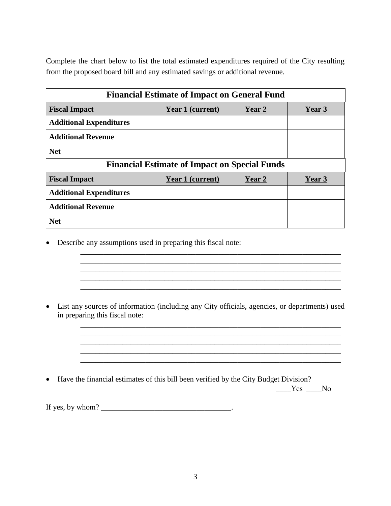Complete the chart below to list the total estimated expenditures required of the City resulting from the proposed board bill and any estimated savings or additional revenue.

| <b>Financial Estimate of Impact on General Fund</b>  |                  |        |        |  |  |  |
|------------------------------------------------------|------------------|--------|--------|--|--|--|
| <b>Fiscal Impact</b>                                 | Year 1 (current) | Year 2 | Year 3 |  |  |  |
| <b>Additional Expenditures</b>                       |                  |        |        |  |  |  |
| <b>Additional Revenue</b>                            |                  |        |        |  |  |  |
| <b>Net</b>                                           |                  |        |        |  |  |  |
| <b>Financial Estimate of Impact on Special Funds</b> |                  |        |        |  |  |  |
| <b>Fiscal Impact</b>                                 | Year 1 (current) | Year 2 | Year 3 |  |  |  |
| <b>Additional Expenditures</b>                       |                  |        |        |  |  |  |
| <b>Additional Revenue</b>                            |                  |        |        |  |  |  |
| <b>Net</b>                                           |                  |        |        |  |  |  |

• Describe any assumptions used in preparing this fiscal note:

• List any sources of information (including any City officials, agencies, or departments) used in preparing this fiscal note:

 $\overline{\phantom{a}}$  ,  $\overline{\phantom{a}}$  ,  $\overline{\phantom{a}}$  ,  $\overline{\phantom{a}}$  ,  $\overline{\phantom{a}}$  ,  $\overline{\phantom{a}}$  ,  $\overline{\phantom{a}}$  ,  $\overline{\phantom{a}}$  ,  $\overline{\phantom{a}}$  ,  $\overline{\phantom{a}}$  ,  $\overline{\phantom{a}}$  ,  $\overline{\phantom{a}}$  ,  $\overline{\phantom{a}}$  ,  $\overline{\phantom{a}}$  ,  $\overline{\phantom{a}}$  ,  $\overline{\phantom{a}}$ \_\_\_\_\_\_\_\_\_\_\_\_\_\_\_\_\_\_\_\_\_\_\_\_\_\_\_\_\_\_\_\_\_\_\_\_\_\_\_\_\_\_\_\_\_\_\_\_\_\_\_\_\_\_\_\_\_\_\_\_\_\_\_\_\_\_\_\_  $\overline{\phantom{a}}$  ,  $\overline{\phantom{a}}$  ,  $\overline{\phantom{a}}$  ,  $\overline{\phantom{a}}$  ,  $\overline{\phantom{a}}$  ,  $\overline{\phantom{a}}$  ,  $\overline{\phantom{a}}$  ,  $\overline{\phantom{a}}$  ,  $\overline{\phantom{a}}$  ,  $\overline{\phantom{a}}$  ,  $\overline{\phantom{a}}$  ,  $\overline{\phantom{a}}$  ,  $\overline{\phantom{a}}$  ,  $\overline{\phantom{a}}$  ,  $\overline{\phantom{a}}$  ,  $\overline{\phantom{a}}$ 

\_\_\_\_\_\_\_\_\_\_\_\_\_\_\_\_\_\_\_\_\_\_\_\_\_\_\_\_\_\_\_\_\_\_\_\_\_\_\_\_\_\_\_\_\_\_\_\_\_\_\_\_\_\_\_\_\_\_\_\_\_\_\_\_\_\_\_\_

\_\_\_\_\_\_\_\_\_\_\_\_\_\_\_\_\_\_\_\_\_\_\_\_\_\_\_\_\_\_\_\_\_\_\_\_\_\_\_\_\_\_\_\_\_\_\_\_\_\_\_\_\_\_\_\_\_\_\_\_\_\_\_\_\_\_\_\_  $\overline{\phantom{a}}$  , and the contribution of the contribution of the contribution of the contribution of the contribution of the contribution of the contribution of the contribution of the contribution of the contribution of the

\_\_\_\_\_\_\_\_\_\_\_\_\_\_\_\_\_\_\_\_\_\_\_\_\_\_\_\_\_\_\_\_\_\_\_\_\_\_\_\_\_\_\_\_\_\_\_\_\_\_\_\_\_\_\_\_\_\_\_\_\_\_\_\_\_\_\_\_

• Have the financial estimates of this bill been verified by the City Budget Division?  $\frac{Yes}{X}$  No

If yes, by whom?  $\frac{1}{2}$   $\frac{1}{2}$   $\frac{1}{2}$   $\frac{1}{2}$   $\frac{1}{2}$   $\frac{1}{2}$   $\frac{1}{2}$   $\frac{1}{2}$   $\frac{1}{2}$   $\frac{1}{2}$   $\frac{1}{2}$   $\frac{1}{2}$   $\frac{1}{2}$   $\frac{1}{2}$   $\frac{1}{2}$   $\frac{1}{2}$   $\frac{1}{2}$   $\frac{1}{2}$   $\frac{1}{2}$   $\frac{1}{2}$   $\frac{$